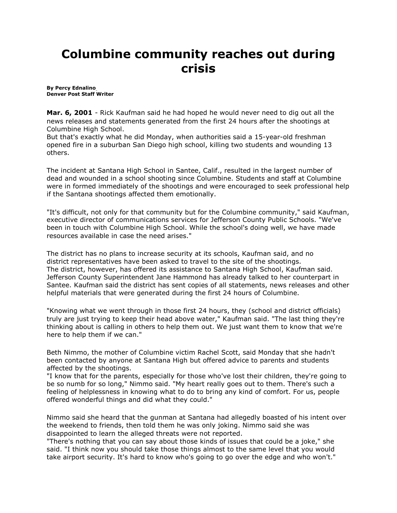## **Columbine community reaches out during crisis**

**By [Percy Ednalino](mailto:newsroom@denverpost.com) Denver Post Staff Writer**

**Mar. 6, 2001** - Rick Kaufman said he had hoped he would never need to dig out all the news releases and statements generated from the first 24 hours after the shootings at Columbine High School.

But that's exactly what he did Monday, when authorities said a 15-year-old freshman opened fire in a suburban San Diego high school, killing two students and wounding 13 others.

The incident at Santana High School in Santee, Calif., resulted in the largest number of dead and wounded in a school shooting since Columbine. Students and staff at Columbine were in formed immediately of the shootings and were encouraged to seek professional help if the Santana shootings affected them emotionally.

"It's difficult, not only for that community but for the Columbine community," said Kaufman, executive director of communications services for Jefferson County Public Schools. "We've been in touch with Columbine High School. While the school's doing well, we have made resources available in case the need arises."

The district has no plans to increase security at its schools, Kaufman said, and no district representatives have been asked to travel to the site of the shootings. The district, however, has offered its assistance to Santana High School, Kaufman said. Jefferson County Superintendent Jane Hammond has already talked to her counterpart in Santee. Kaufman said the district has sent copies of all statements, news releases and other helpful materials that were generated during the first 24 hours of Columbine.

"Knowing what we went through in those first 24 hours, they (school and district officials) truly are just trying to keep their head above water," Kaufman said. "The last thing they're thinking about is calling in others to help them out. We just want them to know that we're here to help them if we can."

Beth Nimmo, the mother of Columbine victim Rachel Scott, said Monday that she hadn't been contacted by anyone at Santana High but offered advice to parents and students affected by the shootings.

"I know that for the parents, especially for those who've lost their children, they're going to be so numb for so long," Nimmo said. "My heart really goes out to them. There's such a feeling of helplessness in knowing what to do to bring any kind of comfort. For us, people offered wonderful things and did what they could."

Nimmo said she heard that the gunman at Santana had allegedly boasted of his intent over the weekend to friends, then told them he was only joking. Nimmo said she was disappointed to learn the alleged threats were not reported.

"There's nothing that you can say about those kinds of issues that could be a joke," she said. "I think now you should take those things almost to the same level that you would take airport security. It's hard to know who's going to go over the edge and who won't."